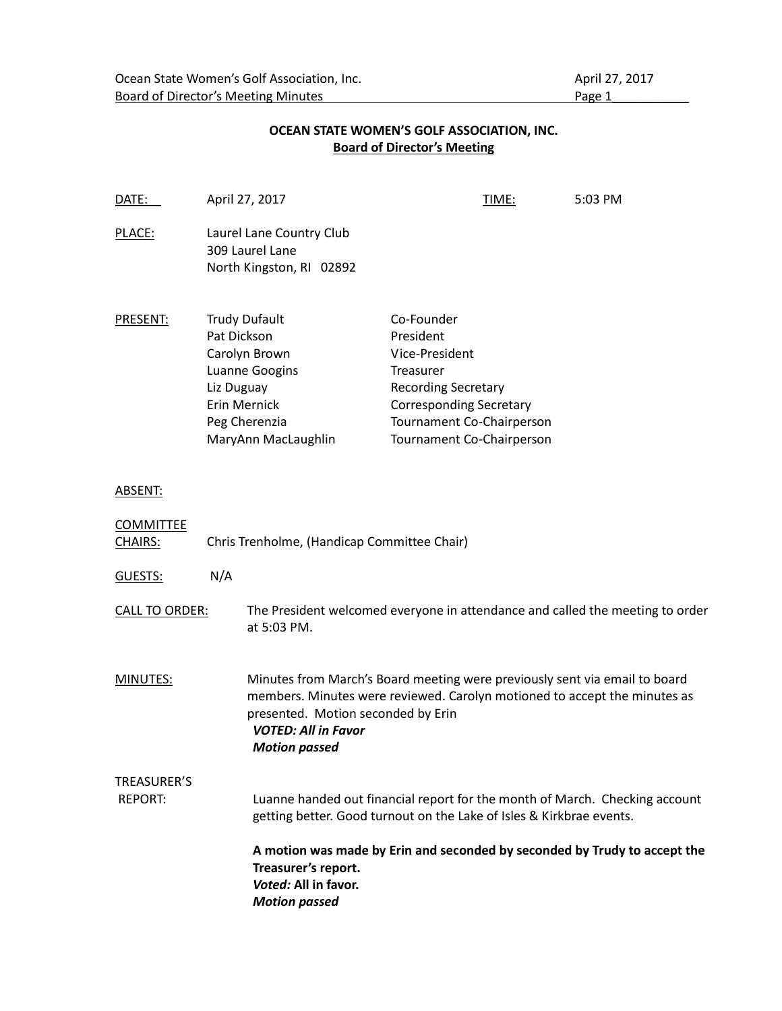### **Board of Director's Meeting DATE:** April 27, 2017 **TIME:** 5:03 PM PLACE: Laurel Lane Country Club 309 Laurel Lane North Kingston, RI 02892 PRESENT: Trudy Dufault Co-Founder Pat Dickson President Carolyn Brown Vice-President Luanne Googins Treasurer Liz Duguay Recording Secretary Erin Mernick Corresponding Secretary Peg Cherenzia Tournament Co-Chairperson MaryAnn MacLaughlin Tournament Co-Chairperson ABSENT: **COMMITTEE** CHAIRS: Chris Trenholme, (Handicap Committee Chair) GUESTS: N/A CALL TO ORDER: The President welcomed everyone in attendance and called the meeting to order at 5:03 PM. MINUTES: Minutes from March's Board meeting were previously sent via email to board members. Minutes were reviewed. Carolyn motioned to accept the minutes as presented. Motion seconded by Erin *VOTED: All in Favor Motion passed* TREASURER'S REPORT: Luanne handed out financial report for the month of March. Checking account getting better. Good turnout on the Lake of Isles & Kirkbrae events.

#### **A motion was made by Erin and seconded by seconded by Trudy to accept the Treasurer's report.**  *Voted:* **All in favor.**  *Motion passed*

# **OCEAN STATE WOMEN'S GOLF ASSOCIATION, INC.**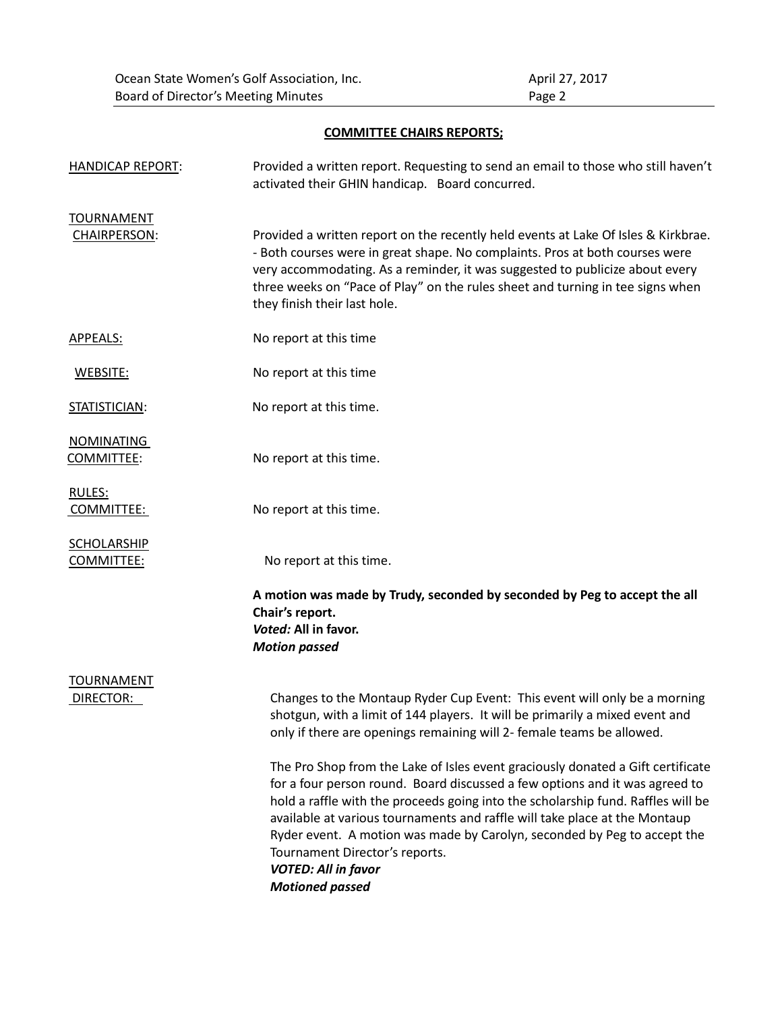### **COMMITTEE CHAIRS REPORTS;**

| <b>HANDICAP REPORT:</b>           | Provided a written report. Requesting to send an email to those who still haven't<br>activated their GHIN handicap. Board concurred.                                                                                                                                                                                                                                                                                                                                                                   |
|-----------------------------------|--------------------------------------------------------------------------------------------------------------------------------------------------------------------------------------------------------------------------------------------------------------------------------------------------------------------------------------------------------------------------------------------------------------------------------------------------------------------------------------------------------|
| <b>TOURNAMENT</b><br>CHAIRPERSON: | Provided a written report on the recently held events at Lake Of Isles & Kirkbrae.<br>- Both courses were in great shape. No complaints. Pros at both courses were<br>very accommodating. As a reminder, it was suggested to publicize about every<br>three weeks on "Pace of Play" on the rules sheet and turning in tee signs when<br>they finish their last hole.                                                                                                                                   |
| APPEALS:                          | No report at this time                                                                                                                                                                                                                                                                                                                                                                                                                                                                                 |
| WEBSITE:                          | No report at this time                                                                                                                                                                                                                                                                                                                                                                                                                                                                                 |
| STATISTICIAN:                     | No report at this time.                                                                                                                                                                                                                                                                                                                                                                                                                                                                                |
| <b>NOMINATING</b><br>COMMITTEE:   | No report at this time.                                                                                                                                                                                                                                                                                                                                                                                                                                                                                |
| RULES:<br>COMMITTEE:              | No report at this time.                                                                                                                                                                                                                                                                                                                                                                                                                                                                                |
| <b>SCHOLARSHIP</b><br>COMMITTEE:  | No report at this time.                                                                                                                                                                                                                                                                                                                                                                                                                                                                                |
|                                   | A motion was made by Trudy, seconded by seconded by Peg to accept the all<br>Chair's report.<br>Voted: All in favor.<br><b>Motion passed</b>                                                                                                                                                                                                                                                                                                                                                           |
| <b>TOURNAMENT</b><br>DIRECTOR:    | Changes to the Montaup Ryder Cup Event: This event will only be a morning<br>shotgun, with a limit of 144 players. It will be primarily a mixed event and<br>only if there are openings remaining will 2- female teams be allowed.                                                                                                                                                                                                                                                                     |
|                                   | The Pro Shop from the Lake of Isles event graciously donated a Gift certificate<br>for a four person round. Board discussed a few options and it was agreed to<br>hold a raffle with the proceeds going into the scholarship fund. Raffles will be<br>available at various tournaments and raffle will take place at the Montaup<br>Ryder event. A motion was made by Carolyn, seconded by Peg to accept the<br>Tournament Director's reports.<br><b>VOTED: All in favor</b><br><b>Motioned passed</b> |